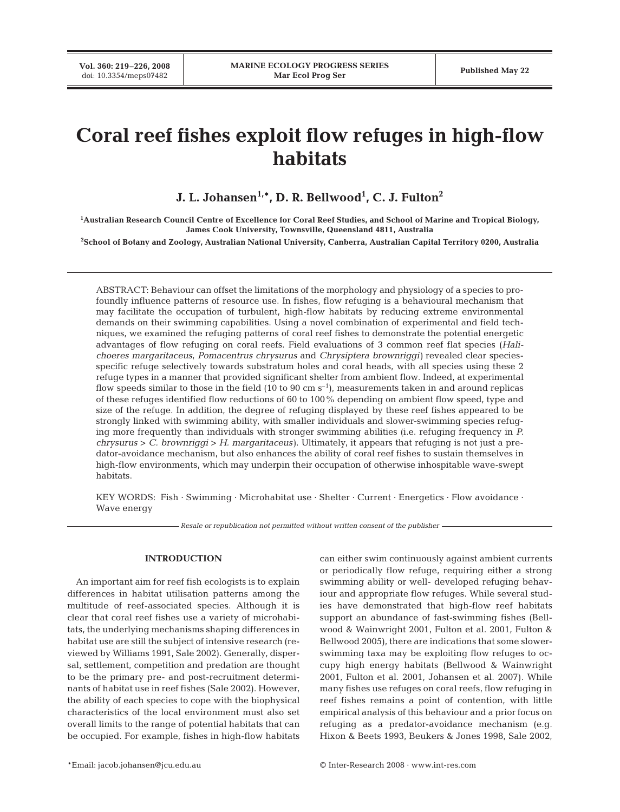**Vol. 360: 219–226, 2008**

# **Coral reef fishes exploit flow refuges in high-flow habitats**

**J. L. Johansen1,\*, D. R. Bellwood1 , C. J. Fulton2**

**1 Australian Research Council Centre of Excellence for Coral Reef Studies, and School of Marine and Tropical Biology, James Cook University, Townsville, Queensland 4811, Australia**

**2 School of Botany and Zoology, Australian National University, Canberra, Australian Capital Territory 0200, Australia**

ABSTRACT: Behaviour can offset the limitations of the morphology and physiology of a species to profoundly influence patterns of resource use. In fishes, flow refuging is a behavioural mechanism that may facilitate the occupation of turbulent, high-flow habitats by reducing extreme environmental demands on their swimming capabilities. Using a novel combination of experimental and field techniques, we examined the refuging patterns of coral reef fishes to demonstrate the potential energetic advantages of flow refuging on coral reefs. Field evaluations of 3 common reef flat species (*Halichoeres margaritaceus*, *Pomacentrus chrysurus* and *Chrysiptera brownriggi)* revealed clear speciesspecific refuge selectively towards substratum holes and coral heads, with all species using these 2 refuge types in a manner that provided significant shelter from ambient flow. Indeed, at experimental flow speeds similar to those in the field (10 to 90 cm  $s^{-1}$ ), measurements taken in and around replicas of these refuges identified flow reductions of 60 to 100% depending on ambient flow speed, type and size of the refuge. In addition, the degree of refuging displayed by these reef fishes appeared to be strongly linked with swimming ability, with smaller individuals and slower-swimming species refuging more frequently than individuals with stronger swimming abilities (i.e. refuging frequency in *P. chrysurus* > *C. brownriggi* > *H. margaritaceus)*. Ultimately, it appears that refuging is not just a predator-avoidance mechanism, but also enhances the ability of coral reef fishes to sustain themselves in high-flow environments, which may underpin their occupation of otherwise inhospitable wave-swept habitats.

KEY WORDS: Fish · Swimming · Microhabitat use · Shelter · Current · Energetics · Flow avoidance · Wave energy

*Resale or republication not permitted without written consent of the publisher*

## **INTRODUCTION**

An important aim for reef fish ecologists is to explain differences in habitat utilisation patterns among the multitude of reef-associated species. Although it is clear that coral reef fishes use a variety of microhabitats, the underlying mechanisms shaping differences in habitat use are still the subject of intensive research (reviewed by Williams 1991, Sale 2002). Generally, dispersal, settlement, competition and predation are thought to be the primary pre- and post-recruitment determinants of habitat use in reef fishes (Sale 2002). However, the ability of each species to cope with the biophysical characteristics of the local environment must also set overall limits to the range of potential habitats that can be occupied. For example, fishes in high-flow habitats can either swim continuously against ambient currents or periodically flow refuge, requiring either a strong swimming ability or well- developed refuging behaviour and appropriate flow refuges. While several studies have demonstrated that high-flow reef habitats support an abundance of fast-swimming fishes (Bellwood & Wainwright 2001, Fulton et al. 2001, Fulton & Bellwood 2005), there are indications that some slowerswimming taxa may be exploiting flow refuges to occupy high energy habitats (Bellwood & Wainwright 2001, Fulton et al. 2001, Johansen et al. 2007). While many fishes use refuges on coral reefs, flow refuging in reef fishes remains a point of contention, with little empirical analysis of this behaviour and a prior focus on refuging as a predator-avoidance mechanism (e.g. Hixon & Beets 1993, Beukers & Jones 1998, Sale 2002,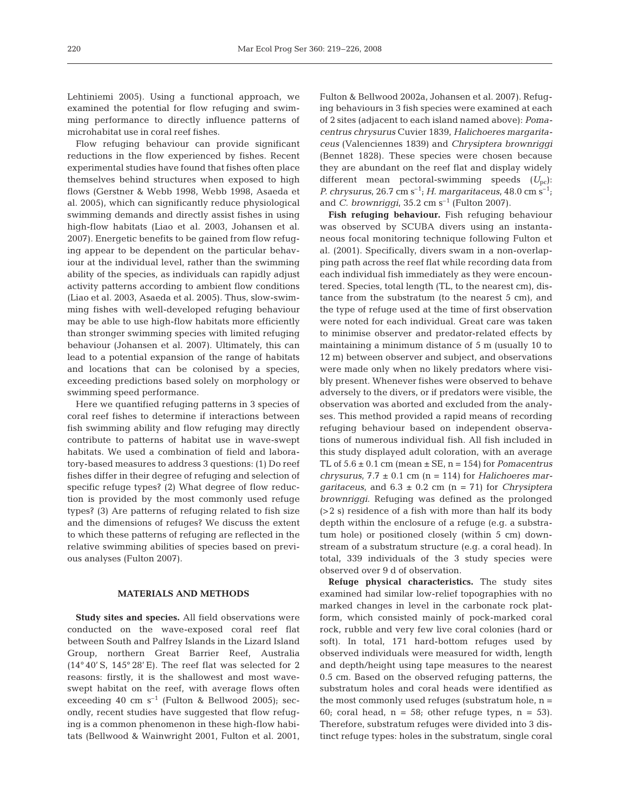Lehtiniemi 2005). Using a functional approach, we examined the potential for flow refuging and swimming performance to directly influence patterns of microhabitat use in coral reef fishes.

Flow refuging behaviour can provide significant reductions in the flow experienced by fishes. Recent experimental studies have found that fishes often place themselves behind structures when exposed to high flows (Gerstner & Webb 1998, Webb 1998, Asaeda et al. 2005), which can significantly reduce physiological swimming demands and directly assist fishes in using high-flow habitats (Liao et al. 2003, Johansen et al. 2007). Energetic benefits to be gained from flow refuging appear to be dependent on the particular behaviour at the individual level, rather than the swimming ability of the species, as individuals can rapidly adjust activity patterns according to ambient flow conditions (Liao et al. 2003, Asaeda et al. 2005). Thus, slow-swimming fishes with well-developed refuging behaviour may be able to use high-flow habitats more efficiently than stronger swimming species with limited refuging behaviour (Johansen et al. 2007). Ultimately, this can lead to a potential expansion of the range of habitats and locations that can be colonised by a species, exceeding predictions based solely on morphology or swimming speed performance.

Here we quantified refuging patterns in 3 species of coral reef fishes to determine if interactions between fish swimming ability and flow refuging may directly contribute to patterns of habitat use in wave-swept habitats. We used a combination of field and laboratory-based measures to address 3 questions: (1) Do reef fishes differ in their degree of refuging and selection of specific refuge types? (2) What degree of flow reduction is provided by the most commonly used refuge types? (3) Are patterns of refuging related to fish size and the dimensions of refuges? We discuss the extent to which these patterns of refuging are reflected in the relative swimming abilities of species based on previous analyses (Fulton 2007).

### **MATERIALS AND METHODS**

**Study sites and species.** All field observations were conducted on the wave-exposed coral reef flat between South and Palfrey Islands in the Lizard Island Group, northern Great Barrier Reef, Australia  $(14^{\circ}40'$  S,  $145^{\circ}28'$  E). The reef flat was selected for 2 reasons: firstly, it is the shallowest and most waveswept habitat on the reef, with average flows often exceeding 40 cm  $s^{-1}$  (Fulton & Bellwood 2005); secondly, recent studies have suggested that flow refuging is a common phenomenon in these high-flow habitats (Bellwood & Wainwright 2001, Fulton et al. 2001, Fulton & Bellwood 2002a, Johansen et al. 2007). Refuging behaviours in 3 fish species were examined at each of 2 sites (adjacent to each island named above): *Pomacentrus chrysurus* Cuvier 1839, *Halichoeres margaritaceus* (Valenciennes 1839) and *Chrysiptera brownriggi* (Bennet 1828). These species were chosen because they are abundant on the reef flat and display widely different mean pectoral-swimming speeds ( $U_{\text{pc}}$ ): *P. chrysurus*, 26.7 cm  $s^{-1}$ ; *H. margaritaceus*, 48.0 cm  $s^{-1}$ ; and *C. brownriggi*,  $35.2 \text{ cm s}^{-1}$  (Fulton 2007).

**Fish refuging behaviour.** Fish refuging behaviour was observed by SCUBA divers using an instantaneous focal monitoring technique following Fulton et al. (2001). Specifically, divers swam in a non-overlapping path across the reef flat while recording data from each individual fish immediately as they were encountered. Species, total length (TL, to the nearest cm), distance from the substratum (to the nearest 5 cm), and the type of refuge used at the time of first observation were noted for each individual. Great care was taken to minimise observer and predator-related effects by maintaining a minimum distance of 5 m (usually 10 to 12 m) between observer and subject, and observations were made only when no likely predators where visibly present. Whenever fishes were observed to behave adversely to the divers, or if predators were visible, the observation was aborted and excluded from the analyses. This method provided a rapid means of recording refuging behaviour based on independent observations of numerous individual fish. All fish included in this study displayed adult coloration, with an average TL of 5.6 ± 0.1 cm (mean ± SE, n = 154) for *Pomacentrus chrysurus*, 7.7 ± 0.1 cm (n = 114) for *Halichoeres margaritaceus*, and 6.3 ± 0.2 cm (n = 71) for *Chrysiptera brownriggi*. Refuging was defined as the prolonged (>2 s) residence of a fish with more than half its body depth within the enclosure of a refuge (e.g. a substratum hole) or positioned closely (within 5 cm) downstream of a substratum structure (e.g. a coral head). In total, 339 individuals of the 3 study species were observed over 9 d of observation.

**Refuge physical characteristics.** The study sites examined had similar low-relief topographies with no marked changes in level in the carbonate rock platform, which consisted mainly of pock-marked coral rock, rubble and very few live coral colonies (hard or soft). In total, 171 hard-bottom refuges used by observed individuals were measured for width, length and depth/height using tape measures to the nearest 0.5 cm. Based on the observed refuging patterns, the substratum holes and coral heads were identified as the most commonly used refuges (substratum hole,  $n =$ 60; coral head,  $n = 58$ ; other refuge types,  $n = 53$ ). Therefore, substratum refuges were divided into 3 distinct refuge types: holes in the substratum, single coral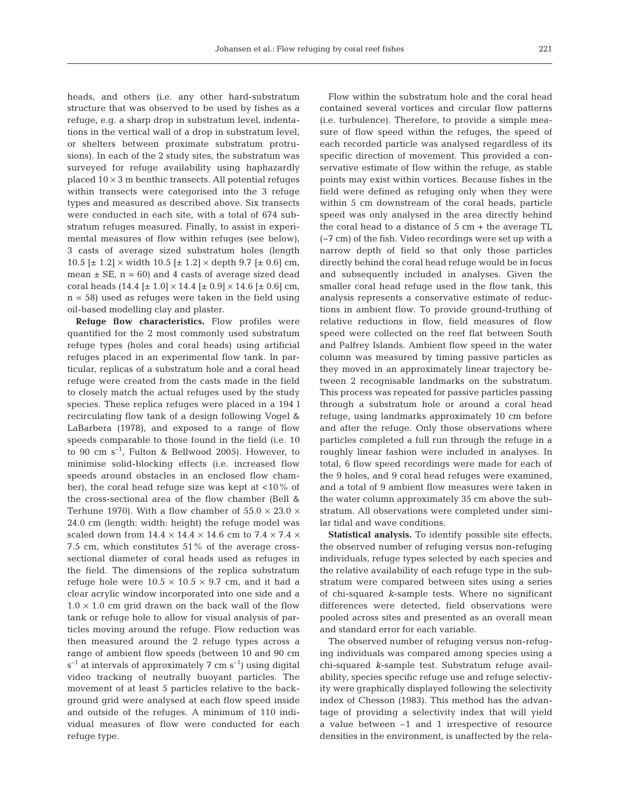heads, and others (i.e. any other hard-substratum structure that was observed to be used by fishes as a refuge, e.g. a sharp drop in substratum level, indentations in the vertical wall of a drop in substratum level, or shelters between proximate substratum protrusions). In each of the 2 study sites, the substratum was surveyed for refuge availability using haphazardly placed  $10 \times 3$  m benthic transects. All potential refuges within transects were categorised into the 3 refuge types and measured as described above. Six transects were conducted in each site, with a total of 674 substratum refuges measured. Finally, to assist in experimental measures of flow within refuges (see below), 3 casts of average sized substratum holes (length 10.5  $[\pm 1.2] \times$  width 10.5  $[\pm 1.2] \times$  depth 9.7  $[\pm 0.6]$  cm, mean  $\pm$  SE, n = 60) and 4 casts of average sized dead coral heads  $(14.4 \pm 1.0] \times 14.4 \pm 0.9] \times 14.6 \pm 0.6]$  cm,  $n = 58$ ) used as refuges were taken in the field using oil-based modelling clay and plaster.

**Refuge flow characteristics.** Flow profiles were quantified for the 2 most commonly used substratum refuge types (holes and coral heads) using artificial refuges placed in an experimental flow tank. In particular, replicas of a substratum hole and a coral head refuge were created from the casts made in the field to closely match the actual refuges used by the study species. These replica refuges were placed in a 194 l recirculating flow tank of a design following Vogel & LaBarbera (1978), and exposed to a range of flow speeds comparable to those found in the field (i.e. 10 to 90 cm  $s^{-1}$ , Fulton & Bellwood 2005). However, to minimise solid-blocking effects (i.e. increased flow speeds around obstacles in an enclosed flow chamber), the coral head refuge size was kept at <10% of the cross-sectional area of the flow chamber (Bell & Terhune 1970). With a flow chamber of  $55.0 \times 23.0 \times$ 24.0 cm (length: width: height) the refuge model was scaled down from  $14.4 \times 14.4 \times 14.6$  cm to  $7.4 \times 7.4 \times$ 7.5 cm, which constitutes 51% of the average crosssectional diameter of coral heads used as refuges in the field. The dimensions of the replica substratum refuge hole were  $10.5 \times 10.5 \times 9.7$  cm, and it had a clear acrylic window incorporated into one side and a  $1.0 \times 1.0$  cm grid drawn on the back wall of the flow tank or refuge hole to allow for visual analysis of particles moving around the refuge. Flow reduction was then measured around the 2 refuge types across a range of ambient flow speeds (between 10 and 90 cm  $s^{-1}$  at intervals of approximately 7 cm  $s^{-1}$ ) using digital video tracking of neutrally buoyant particles. The movement of at least 5 particles relative to the background grid were analysed at each flow speed inside and outside of the refuges. A minimum of 110 individual measures of flow were conducted for each refuge type.

Flow within the substratum hole and the coral head contained several vortices and circular flow patterns (i.e. turbulence). Therefore, to provide a simple measure of flow speed within the refuges, the speed of each recorded particle was analysed regardless of its specific direction of movement. This provided a conservative estimate of flow within the refuge, as stable points may exist within vortices. Because fishes in the field were defined as refuging only when they were within 5 cm downstream of the coral heads, particle speed was only analysed in the area directly behind the coral head to a distance of 5 cm + the average TL (~7 cm) of the fish. Video recordings were set up with a narrow depth of field so that only those particles directly behind the coral head refuge would be in focus and subsequently included in analyses. Given the smaller coral head refuge used in the flow tank, this analysis represents a conservative estimate of reductions in ambient flow. To provide ground-truthing of relative reductions in flow, field measures of flow speed were collected on the reef flat between South and Palfrey Islands. Ambient flow speed in the water column was measured by timing passive particles as they moved in an approximately linear trajectory between 2 recognisable landmarks on the substratum. This process was repeated for passive particles passing through a substratum hole or around a coral head refuge, using landmarks approximately 10 cm before and after the refuge. Only those observations where particles completed a full run through the refuge in a roughly linear fashion were included in analyses. In total, 6 flow speed recordings were made for each of the 9 holes, and 9 coral head refuges were examined, and a total of 9 ambient flow measures were taken in the water column approximately 35 cm above the substratum. All observations were completed under similar tidal and wave conditions.

**Statistical analysis.** To identify possible site effects, the observed number of refuging versus non-refuging individuals, refuge types selected by each species and the relative availability of each refuge type in the substratum were compared between sites using a series of chi-squared *k*-sample tests. Where no significant differences were detected, field observations were pooled across sites and presented as an overall mean and standard error for each variable.

The observed number of refuging versus non-refuging individuals was compared among species using a chi-squared *k*-sample test. Substratum refuge availability, species specific refuge use and refuge selectivity were graphically displayed following the selectivity index of Chesson (1983). This method has the advantage of providing a selectivity index that will yield a value between –1 and 1 irrespective of resource densities in the environment, is unaffected by the rela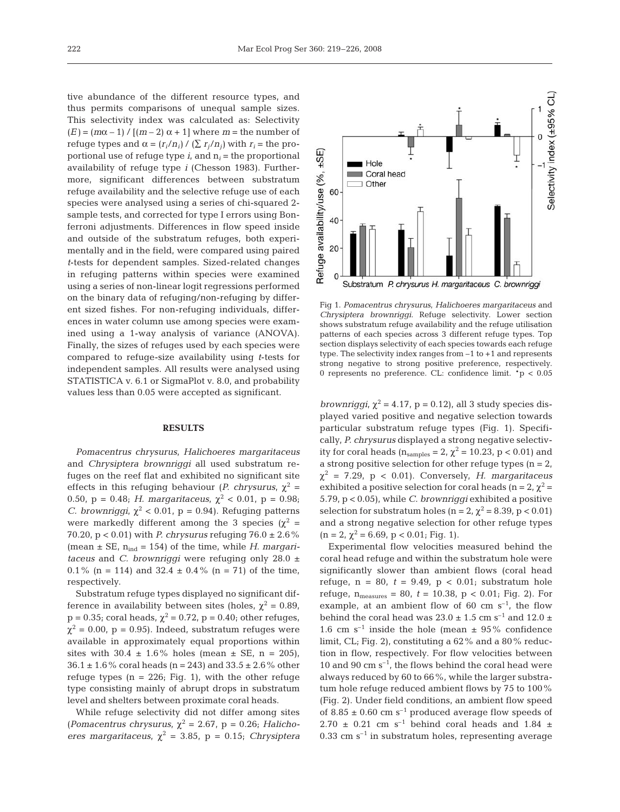tive abundance of the different resource types, and thus permits comparisons of unequal sample sizes. This selectivity index was calculated as: Selectivity  $(E) = (m\alpha - 1) / [(m-2)\alpha + 1]$  where  $m =$  the number of refuge types and  $α = (r_i/n_i) / (\sum r_i/n_i)$  with  $r_i$  = the proportional use of refuge type  $i$ , and  $n_i$  = the proportional availability of refuge type *i* (Chesson 1983). Furthermore, significant differences between substratum refuge availability and the selective refuge use of each species were analysed using a series of chi-squared 2 sample tests, and corrected for type I errors using Bonferroni adjustments. Differences in flow speed inside and outside of the substratum refuges, both experimentally and in the field, were compared using paired *t*-tests for dependent samples. Sized-related changes in refuging patterns within species were examined using a series of non-linear logit regressions performed on the binary data of refuging/non-refuging by different sized fishes. For non-refuging individuals, differences in water column use among species were examined using a 1-way analysis of variance (ANOVA). Finally, the sizes of refuges used by each species were compared to refuge-size availability using *t*-tests for independent samples. All results were analysed using STATISTICA v. 6.1 or SigmaPlot v. 8.0, and probability values less than 0.05 were accepted as significant.

# **RESULTS**

*Pomacentrus chrysurus*, *Halichoeres margaritaceus* and *Chrysiptera brownriggi* all used substratum refuges on the reef flat and exhibited no significant site effects in this refuging behaviour (*P. chrysurus*,  $\chi^2$  = 0.50,  $p = 0.48$ ; *H. margaritaceus*,  $\chi^2$  < 0.01,  $p = 0.98$ ; *C. brownriggi,*  $\chi^2$  < 0.01, p = 0.94). Refuging patterns were markedly different among the 3 species ( $\chi^2$  = 70.20, p < 0.01) with *P. chrysurus* refuging 76.0 ± 2.6% (mean  $\pm$  SE, n<sub>ind</sub> = 154) of the time, while *H. margaritaceus* and *C. brownriggi* were refuging only 28.0 ± 0.1% (n = 114) and 32.4  $\pm$  0.4% (n = 71) of the time, respectively.

Substratum refuge types displayed no significant difference in availability between sites (holes,  $\chi^2 = 0.89$ ,  $p = 0.35$ ; coral heads,  $\chi^2 = 0.72$ ,  $p = 0.40$ ; other refuges,  $\chi^2$  = 0.00, p = 0.95). Indeed, substratum refuges were available in approximately equal proportions within sites with  $30.4 \pm 1.6\%$  holes (mean  $\pm$  SE, n = 205),  $36.1 \pm 1.6$  % coral heads (n = 243) and  $33.5 \pm 2.6$  % other refuge types ( $n = 226$ ; Fig. 1), with the other refuge type consisting mainly of abrupt drops in substratum level and shelters between proximate coral heads.

While refuge selectivity did not differ among sites (*Pomacentrus chrysurus*,  $\chi^2 = 2.67$ , p = 0.26; *Halichoeres margaritaceus*,  $\chi^2$  = 3.85, p = 0.15; *Chrysiptera* 



Fig 1. *Pomacentrus chrysurus*, *Halichoeres margaritaceus* and *Chrysiptera brownriggi*. Refuge selectivity. Lower section shows substratum refuge availability and the refuge utilisation patterns of each species across 3 different refuge types. Top section displays selectivity of each species towards each refuge type. The selectivity index ranges from –1 to +1 and represents strong negative to strong positive preference, respectively. 0 represents no preference. CL: confidence limit. \*p < 0.05

*brownriggi*,  $\chi^2$  = 4.17, p = 0.12), all 3 study species displayed varied positive and negative selection towards particular substratum refuge types (Fig. 1). Specifically, *P. chrysurus* displayed a strong negative selectivity for coral heads ( $n_{samples} = 2$ ,  $\chi^2 = 10.23$ ,  $p < 0.01$ ) and a strong positive selection for other refuge types  $(n = 2,$  $\chi^2$  = 7.29, p < 0.01). Conversely, *H. margaritaceus* exhibited a positive selection for coral heads (n = 2,  $\chi^2$  = 5.79, p < 0.05), while *C. brownriggi* exhibited a positive selection for substratum holes (n = 2,  $\chi^2$  = 8.39, p < 0.01) and a strong negative selection for other refuge types  $(n = 2, \chi^2 = 6.69, p < 0.01;$  Fig. 1).

Experimental flow velocities measured behind the coral head refuge and within the substratum hole were significantly slower than ambient flows (coral head refuge,  $n = 80$ ,  $t = 9.49$ ,  $p < 0.01$ ; substratum hole refuge,  $n_{measures} = 80$ ,  $t = 10.38$ ,  $p < 0.01$ ; Fig. 2). For example, at an ambient flow of 60 cm  $s^{-1}$ , the flow behind the coral head was  $23.0 \pm 1.5$  cm s<sup>-1</sup> and  $12.0 \pm$ 1.6 cm s<sup>-1</sup> inside the hole (mean  $\pm$  95% confidence limit, CL; Fig. 2), constituting a 62% and a 80% reduction in flow, respectively. For flow velocities between 10 and 90 cm  $s^{-1}$ , the flows behind the coral head were always reduced by 60 to 66%, while the larger substratum hole refuge reduced ambient flows by 75 to 100% (Fig. 2). Under field conditions, an ambient flow speed of 8.85  $\pm$  0.60 cm s<sup>-1</sup> produced average flow speeds of 2.70  $\pm$  0.21 cm s<sup>-1</sup> behind coral heads and 1.84  $\pm$ 0.33 cm  $s^{-1}$  in substratum holes, representing average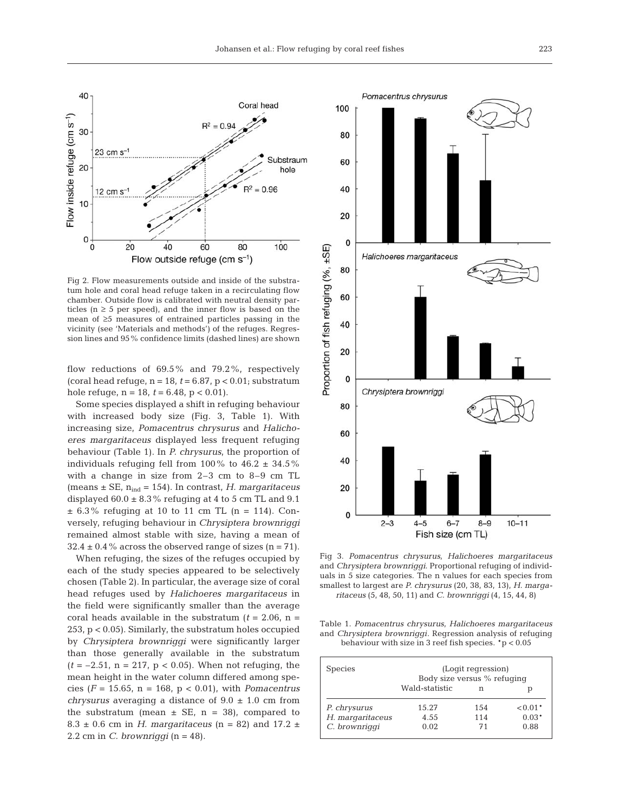

Fig 2. Flow measurements outside and inside of the substratum hole and coral head refuge taken in a recirculating flow chamber. Outside flow is calibrated with neutral density particles ( $n \geq 5$  per speed), and the inner flow is based on the mean of ≥5 measures of entrained particles passing in the vicinity (see 'Materials and methods') of the refuges. Regression lines and 95% confidence limits (dashed lines) are shown

flow reductions of 69.5% and 79.2%, respectively (coral head refuge,  $n = 18$ ,  $t = 6.87$ ,  $p < 0.01$ ; substratum hole refuge,  $n = 18$ ,  $t = 6.48$ ,  $p < 0.01$ ).

Some species displayed a shift in refuging behaviour with increased body size (Fig. 3, Table 1). With increasing size, *Pomacentrus chrysurus* and *Halichoeres margaritaceus* displayed less frequent refuging behaviour (Table 1). In *P. chrysurus*, the proportion of individuals refuging fell from  $100\%$  to  $46.2 \pm 34.5\%$ with a change in size from 2–3 cm to 8–9 cm TL (means ± SE, nind = 154). In contrast, *H. margaritaceus* displayed  $60.0 \pm 8.3\%$  refuging at 4 to 5 cm TL and 9.1  $\pm$  6.3% refuging at 10 to 11 cm TL (n = 114). Conversely, refuging behaviour in *Chrysiptera brownriggi* remained almost stable with size, having a mean of  $32.4 \pm 0.4$ % across the observed range of sizes (n = 71).

When refuging, the sizes of the refuges occupied by each of the study species appeared to be selectively chosen (Table 2). In particular, the average size of coral head refuges used by *Halichoeres margaritaceus* in the field were significantly smaller than the average coral heads available in the substratum  $(t = 2.06, n =$ 253, p < 0.05). Similarly, the substratum holes occupied by *Chrysiptera brownriggi* were significantly larger than those generally available in the substratum  $(t = -2.51, n = 217, p < 0.05)$ . When not refuging, the mean height in the water column differed among species (*F* = 15.65, n = 168, p < 0.01), with *Pomacentrus chrysurus* averaging a distance of 9.0 ± 1.0 cm from the substratum (mean  $\pm$  SE, n = 38), compared to  $8.3 \pm 0.6$  cm in *H. margaritaceus* (n = 82) and 17.2  $\pm$ 2.2 cm in *C. brownriggi* (n = 48).



Fig 3. *Pomacentrus chrysurus*, *Halichoeres margaritaceus* and *Chrysiptera brownriggi*. Proportional refuging of individuals in 5 size categories. The n values for each species from smallest to largest are *P. chrysurus* (20, 38, 83, 13), *H. margaritaceus* (5, 48, 50, 11) and *C. brownriggi* (4, 15, 44, 8)

Table 1. *Pomacentrus chrysurus*, *Halichoeres margaritaceus* and *Chrysiptera brownriggi*. Regression analysis of refuging behaviour with size in 3 reef fish species. \*p < 0.05

| <b>Species</b>   | (Logit regression)<br>Body size versus % refuging |      |           |  |
|------------------|---------------------------------------------------|------|-----------|--|
|                  | Wald-statistic                                    | n    |           |  |
| P. chrysurus     | 15.27                                             | 1.54 | $< 0.01*$ |  |
| H. margaritaceus | 4.55                                              | 114  | $0.03*$   |  |
| C. brownriggi    | 0.02                                              | 71   | 0.88      |  |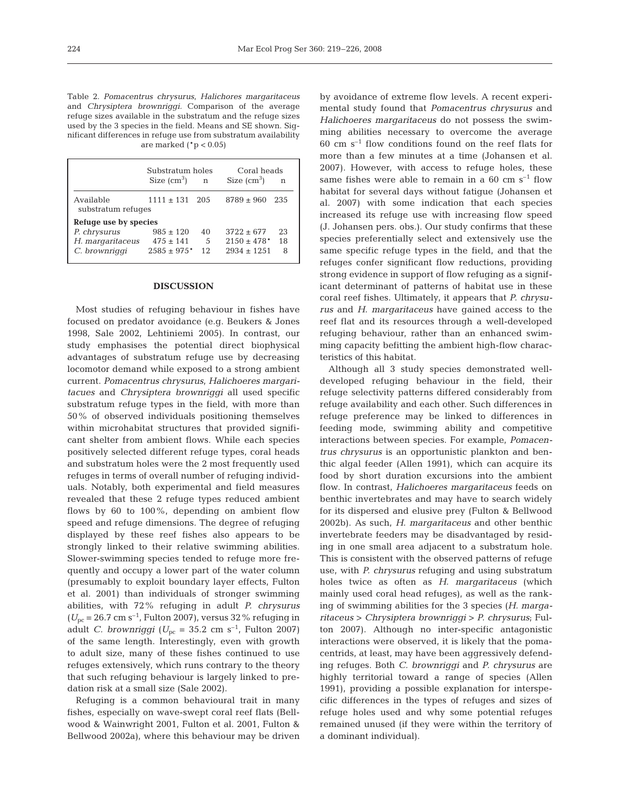Table 2. *Pomacentrus chrysurus*, *Halichores margaritaceus* and *Chrysiptera brownriggi.* Comparison of the average refuge sizes available in the substratum and the refuge sizes used by the 3 species in the field. Means and SE shown. Significant differences in refuge use from substratum availability are marked  $(^*p < 0.05)$ 

|                                 | Substratum holes<br>Size $(cm^3)$ | n     | Coral heads<br>Size $\rm (cm^3)$<br>n |  |
|---------------------------------|-----------------------------------|-------|---------------------------------------|--|
| Available<br>substratum refuges | $1111 + 131$                      | - 205 | $8789 \pm 960$ 235                    |  |
| Refuge use by species           |                                   |       |                                       |  |
| P. chrysurus                    | $985 \pm 120$                     | 40    | $3722 + 677$<br>23                    |  |
| H. margaritaceus                | $475 + 141$                       | 5     | 18<br>$2150 \pm 478$ <sup>*</sup>     |  |
| C. brownriggi                   | $2.585 + 975$ <sup>*</sup>        | 12    | $2934 + 1251$<br>8                    |  |

#### **DISCUSSION**

Most studies of refuging behaviour in fishes have focused on predator avoidance (e.g. Beukers & Jones 1998, Sale 2002, Lehtiniemi 2005). In contrast, our study emphasises the potential direct biophysical advantages of substratum refuge use by decreasing locomotor demand while exposed to a strong ambient current. *Pomacentrus chrysurus*, *Halichoeres margaritacues* and *Chrysiptera brownriggi* all used specific substratum refuge types in the field, with more than 50% of observed individuals positioning themselves within microhabitat structures that provided significant shelter from ambient flows. While each species positively selected different refuge types, coral heads and substratum holes were the 2 most frequently used refuges in terms of overall number of refuging individuals. Notably, both experimental and field measures revealed that these 2 refuge types reduced ambient flows by 60 to 100%, depending on ambient flow speed and refuge dimensions. The degree of refuging displayed by these reef fishes also appears to be strongly linked to their relative swimming abilities. Slower-swimming species tended to refuge more frequently and occupy a lower part of the water column (presumably to exploit boundary layer effects, Fulton et al. 2001) than individuals of stronger swimming abilities, with 72% refuging in adult *P. chrysurus*  $(U_{\text{pc}} = 26.7 \text{ cm s}^{-1}$ , Fulton 2007), versus 32% refuging in adult *C. brownriggi* ( $U_{\text{pc}} = 35.2 \text{ cm s}^{-1}$ , Fulton 2007) of the same length. Interestingly, even with growth to adult size, many of these fishes continued to use refuges extensively, which runs contrary to the theory that such refuging behaviour is largely linked to predation risk at a small size (Sale 2002).

Refuging is a common behavioural trait in many fishes, especially on wave-swept coral reef flats (Bellwood & Wainwright 2001, Fulton et al. 2001, Fulton & Bellwood 2002a), where this behaviour may be driven by avoidance of extreme flow levels. A recent experimental study found that *Pomacentrus chrysurus* and *Halichoeres margaritaceus* do not possess the swimming abilities necessary to overcome the average  $60 \text{ cm s}^{-1}$  flow conditions found on the reef flats for more than a few minutes at a time (Johansen et al. 2007). However, with access to refuge holes, these same fishes were able to remain in a  $60 \text{ cm s}^{-1}$  flow habitat for several days without fatigue (Johansen et al. 2007) with some indication that each species increased its refuge use with increasing flow speed (J. Johansen pers. obs.). Our study confirms that these species preferentially select and extensively use the same specific refuge types in the field, and that the refuges confer significant flow reductions, providing strong evidence in support of flow refuging as a significant determinant of patterns of habitat use in these coral reef fishes. Ultimately, it appears that *P. chrysurus* and *H. margaritaceus* have gained access to the reef flat and its resources through a well-developed refuging behaviour, rather than an enhanced swimming capacity befitting the ambient high-flow characteristics of this habitat.

Although all 3 study species demonstrated welldeveloped refuging behaviour in the field, their refuge selectivity patterns differed considerably from refuge availability and each other. Such differences in refuge preference may be linked to differences in feeding mode, swimming ability and competitive interactions between species. For example, *Pomacentrus chrysurus* is an opportunistic plankton and benthic algal feeder (Allen 1991), which can acquire its food by short duration excursions into the ambient flow. In contrast, *Halichoeres margaritaceus* feeds on benthic invertebrates and may have to search widely for its dispersed and elusive prey (Fulton & Bellwood 2002b). As such, *H. margaritaceus* and other benthic invertebrate feeders may be disadvantaged by residing in one small area adjacent to a substratum hole. This is consistent with the observed patterns of refuge use, with *P. chrysurus* refuging and using substratum holes twice as often as *H. margaritaceus* (which mainly used coral head refuges), as well as the ranking of swimming abilities for the 3 species (*H. margaritaceus* > *Chrysiptera brownriggi* > *P. chrysurus*; Fulton 2007). Although no inter-specific antagonistic interactions were observed, it is likely that the pomacentrids, at least, may have been aggressively defending refuges. Both *C. brownriggi* and *P. chrysurus* are highly territorial toward a range of species (Allen 1991), providing a possible explanation for interspecific differences in the types of refuges and sizes of refuge holes used and why some potential refuges remained unused (if they were within the territory of a dominant individual).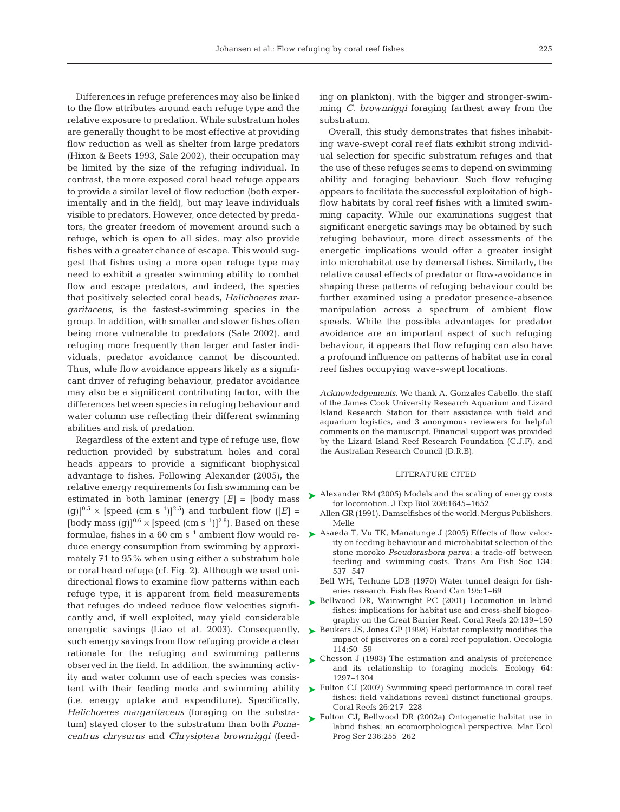Differences in refuge preferences may also be linked to the flow attributes around each refuge type and the relative exposure to predation. While substratum holes are generally thought to be most effective at providing flow reduction as well as shelter from large predators (Hixon & Beets 1993, Sale 2002), their occupation may be limited by the size of the refuging individual. In contrast, the more exposed coral head refuge appears to provide a similar level of flow reduction (both experimentally and in the field), but may leave individuals visible to predators. However, once detected by predators, the greater freedom of movement around such a refuge, which is open to all sides, may also provide fishes with a greater chance of escape. This would suggest that fishes using a more open refuge type may need to exhibit a greater swimming ability to combat flow and escape predators, and indeed, the species that positively selected coral heads, *Halichoeres margaritaceus*, is the fastest-swimming species in the group. In addition, with smaller and slower fishes often being more vulnerable to predators (Sale 2002), and refuging more frequently than larger and faster individuals, predator avoidance cannot be discounted. Thus, while flow avoidance appears likely as a significant driver of refuging behaviour, predator avoidance may also be a significant contributing factor, with the differences between species in refuging behaviour and water column use reflecting their different swimming abilities and risk of predation.

Regardless of the extent and type of refuge use, flow reduction provided by substratum holes and coral heads appears to provide a significant biophysical advantage to fishes. Following Alexander (2005), the relative energy requirements for fish swimming can be estimated in both laminar (energy  $|E|$  = [body mass (g)]<sup>0.5</sup> × [speed (cm s<sup>-1</sup>)]<sup>2.5</sup>) and turbulent flow ([E] = [body mass (g)]<sup>0.6</sup>  $\times$  [speed (cm s<sup>-1</sup>)]<sup>2.8</sup>). Based on these formulae, fishes in a  $60 \text{ cm s}^{-1}$  ambient flow would reduce energy consumption from swimming by approximately 71 to 95% when using either a substratum hole or coral head refuge (cf. Fig. 2). Although we used unidirectional flows to examine flow patterns within each refuge type, it is apparent from field measurements that refuges do indeed reduce flow velocities significantly and, if well exploited, may yield considerable energetic savings (Liao et al. 2003). Consequently, such energy savings from flow refuging provide a clear rationale for the refuging and swimming patterns observed in the field. In addition, the swimming activity and water column use of each species was consistent with their feeding mode and swimming ability (i.e. energy uptake and expenditure). Specifically, *Halichoeres margaritaceus* (foraging on the substratum) stayed closer to the substratum than both *Pomacentrus chrysurus* and *Chrysiptera brownriggi* (feeding on plankton), with the bigger and stronger-swimming *C. brownriggi* foraging farthest away from the substratum.

Overall, this study demonstrates that fishes inhabiting wave-swept coral reef flats exhibit strong individual selection for specific substratum refuges and that the use of these refuges seems to depend on swimming ability and foraging behaviour. Such flow refuging appears to facilitate the successful exploitation of highflow habitats by coral reef fishes with a limited swimming capacity. While our examinations suggest that significant energetic savings may be obtained by such refuging behaviour, more direct assessments of the energetic implications would offer a greater insight into microhabitat use by demersal fishes. Similarly, the relative causal effects of predator or flow-avoidance in shaping these patterns of refuging behaviour could be further examined using a predator presence-absence manipulation across a spectrum of ambient flow speeds. While the possible advantages for predator avoidance are an important aspect of such refuging behaviour, it appears that flow refuging can also have a profound influence on patterns of habitat use in coral reef fishes occupying wave-swept locations.

*Acknowledgements.* We thank A. Gonzales Cabello, the staff of the James Cook University Research Aquarium and Lizard Island Research Station for their assistance with field and aquarium logistics, and 3 anonymous reviewers for helpful comments on the manuscript. Financial support was provided by the Lizard Island Reef Research Foundation (C.J.F), and the Australian Research Council (D.R.B).

### LITERATURE CITED

- ► Alexander RM (2005) Models and the scaling of energy costs for locomotion. J Exp Biol 208:1645–1652
	- Allen GR (1991). Damselfishes of the world. Mergus Publishers, Melle
- ▶ Asaeda T, Vu TK, Manatunge J (2005) Effects of flow velocity on feeding behaviour and microhabitat selection of the stone moroko *Pseudorasbora parva*: a trade-off between feeding and swimming costs. Trans Am Fish Soc 134: 537–547
	- Bell WH, Terhune LDB (1970) Water tunnel design for fisheries research. Fish Res Board Can 195:1–69
- ▶ Bellwood DR, Wainwright PC (2001) Locomotion in labrid fishes: implications for habitat use and cross-shelf biogeography on the Great Barrier Reef. Coral Reefs 20:139–150
- ▶ Beukers JS, Jones GP (1998) Habitat complexity modifies the impact of piscivores on a coral reef population. Oecologia 114:50–59
- ► Chesson J (1983) The estimation and analysis of preference and its relationship to foraging models. Ecology 64: 1297–1304
- ► Fulton CJ (2007) Swimming speed performance in coral reef fishes: field validations reveal distinct functional groups. Coral Reefs 26:217–228
- ► Fulton CJ, Bellwood DR (2002a) Ontogenetic habitat use in labrid fishes: an ecomorphological perspective. Mar Ecol Prog Ser 236:255–262